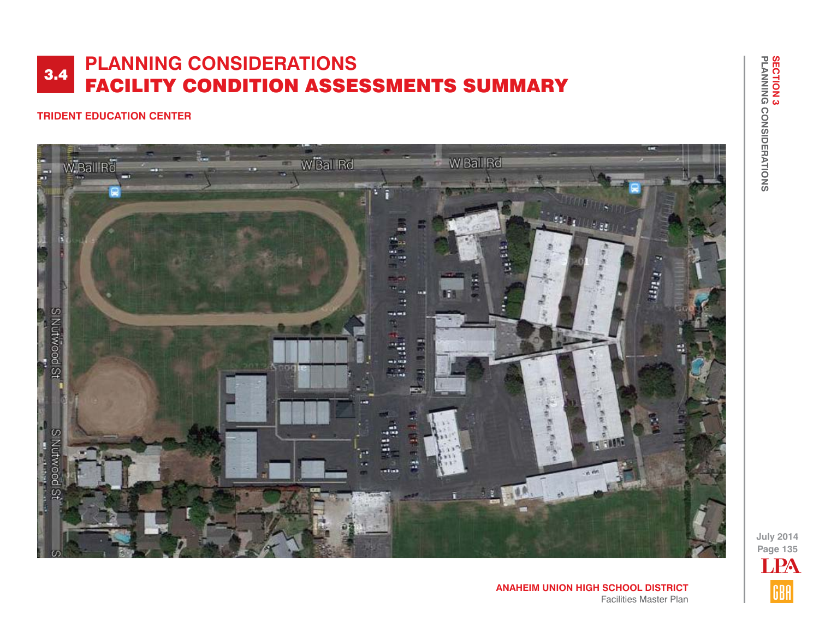## **TRIDENT EDUCATION CENTER**



LPAGBA

**Page 135 July 2014**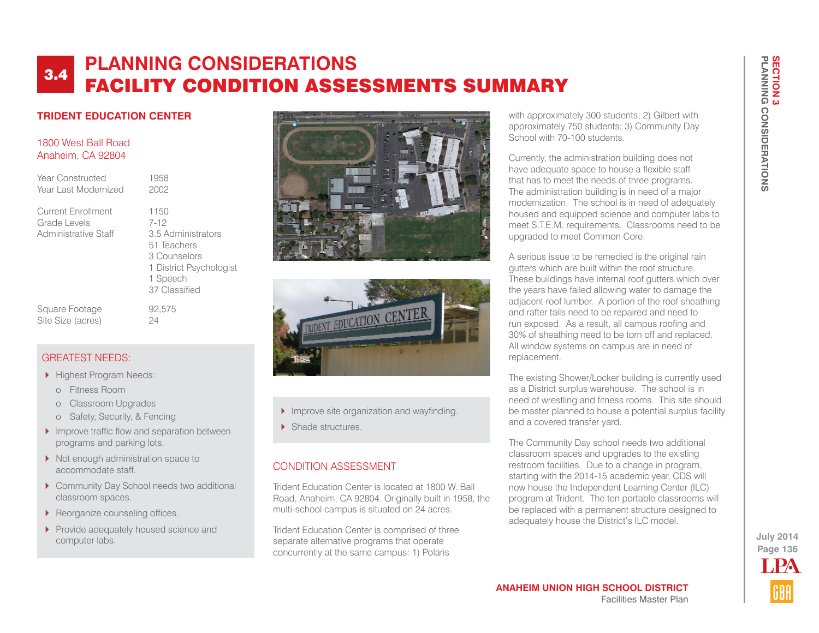## **TRIDENT EDUCATION CENTER**

### 1800 West Ball Road Anaheim, CA 92804

| Year Constructed<br>Year Last Modernized                          | 1958<br>2002                                                                                                                |
|-------------------------------------------------------------------|-----------------------------------------------------------------------------------------------------------------------------|
| <b>Current Enrollment</b><br>Grade Levels<br>Administrative Staff | 1150<br>$7-12$<br>3.5 Administrators<br>51 Teachers<br>3 Counselors<br>1 District Psychologist<br>1 Speech<br>37 Classified |
| Square Footage                                                    | 92.575                                                                                                                      |





- Improve site organization and wayfinding.
- Shade structures

### CONDITION ASSESSMENT

Trident Education Center is located at 1800 W. Ball Road, Anaheim, CA 92804. Originally built in 1958, the multi-school campus is situated on 24 acres.

Trident Education Center is comprised of three separate alternative programs that operate concurrently at the same campus: 1) Polaris

with approximately 300 students; 2) Gilbert with approximately 750 students; 3) Community Day School with 70-100 students.

Currently, the administration building does not have adequate space to house a flexible staff that has to meet the needs of three programs. The administration building is in need of a major modernization. The school is in need of adequately housed and equipped science and computer labs to meet S.T.E.M. requirements. Classrooms need to be upgraded to meet Common Core.

A serious issue to be remedied is the original rain gutters which are built within the roof structure. These buildings have internal roof gutters which over the years have failed allowing water to damage the adjacent roof lumber. A portion of the roof sheathing and rafter tails need to be repaired and need to run exposed. As a result, all campus roofing and 30% of sheathing need to be torn off and replaced. All window systems on campus are in need of replacement.

The existing Shower/Locker building is currently used as a District surplus warehouse. The school is in need of wrestling and fitness rooms. This site should be master planned to house a potential surplus facility and a covered transfer yard.

The Community Day school needs two additional classroom spaces and upgrades to the existing restroom facilities. Due to a change in program, starting with the 2014-15 academic year, CDS will now house the Independent Learning Center (ILC) program at Trident. The ten portable classrooms will be replaced with a permanent structure designed to adequately house the District's ILC model.



### GREATEST NEEDS:

Highest Program Needs:

Site Size (acres) 24

- o Fitness Room
- o Classroom Upgrades
- o Safety, Security, & Fencing
- Improve traffic flow and separation between programs and parking lots.
- Not enough administration space to accommodate staff.
- ▶ Community Day School needs two additional classroom spaces.
- Reorganize counseling offices.
- Provide adequately housed science and computer labs.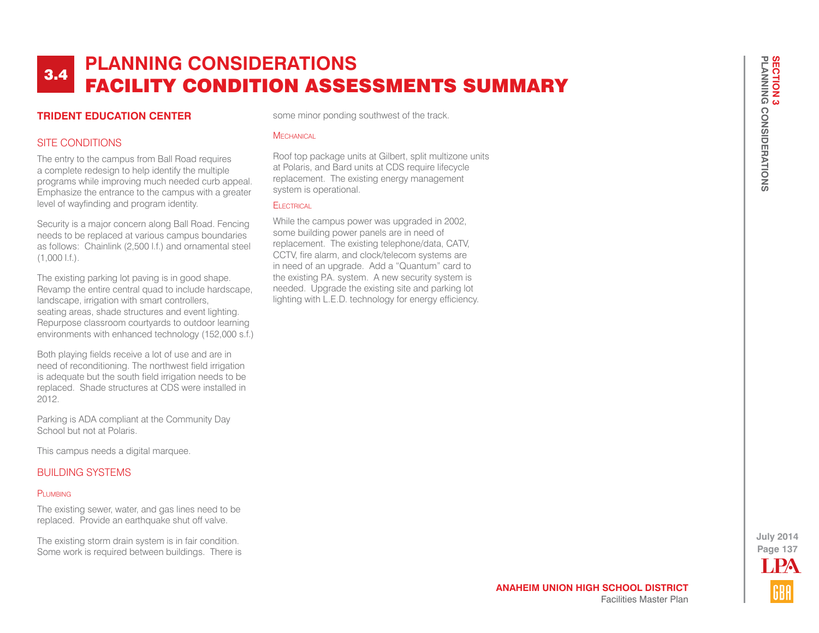### **TRIDENT EDUCATION CENTER**

## SITE CONDITIONS

The entry to the campus from Ball Road requires a complete redesign to help identify the multiple programs while improving much needed curb appeal. Emphasize the entrance to the campus with a greater level of wayfinding and program identity.

Security is a major concern along Ball Road. Fencing needs to be replaced at various campus boundaries as follows: Chainlink (2,500 l.f.) and ornamental steel (1,000 l.f.).

The existing parking lot paving is in good shape. Revamp the entire central quad to include hardscape, landscape, irrigation with smart controllers, seating areas, shade structures and event lighting. Repurpose classroom courtyards to outdoor learning environments with enhanced technology (152,000 s.f.)

Both playing fields receive a lot of use and are in need of reconditioning. The northwest field irrigation is adequate but the south field irrigation needs to be replaced. Shade structures at CDS were installed in 2012.

Parking is ADA compliant at the Community Day School but not at Polaris.

This campus needs a digital marquee.

### BUILDING SYSTEMS

#### PLUMBING

The existing sewer, water, and gas lines need to be replaced. Provide an earthquake shut off valve.

The existing storm drain system is in fair condition. Some work is required between buildings. There is some minor ponding southwest of the track.

#### **MECHANICAL**

Roof top package units at Gilbert, split multizone units at Polaris, and Bard units at CDS require lifecycle replacement. The existing energy management system is operational.

### **ELECTRICAL**

While the campus power was upgraded in 2002, some building power panels are in need of replacement. The existing telephone/data, CATV, CCTV, fire alarm, and clock/telecom systems are in need of an upgrade. Add a "Quantum" card to the existing P.A. system. A new security system is needed. Upgrade the existing site and parking lot lighting with L.E.D. technology for energy efficiency.

**Page 137** LPA

**July 2014**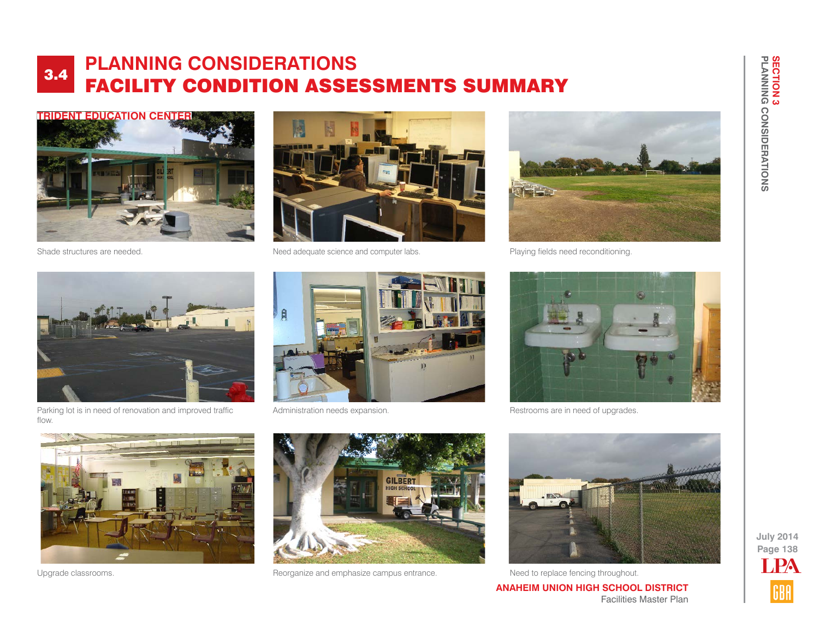



Shade structures are needed.  $\blacksquare$  Need adequate science and computer labs.



Playing fields need reconditioning.



Parking lot is in need of renovation and improved traffic flow.



Administration needs expansion.



Restrooms are in need of upgrades.





Upgrade classrooms. The compassive and emphasize campus entrance. Need to replace fencing throughout.



**ANAHEIM UNION HIGH SCHOOL DISTRICT** Facilities Master Plan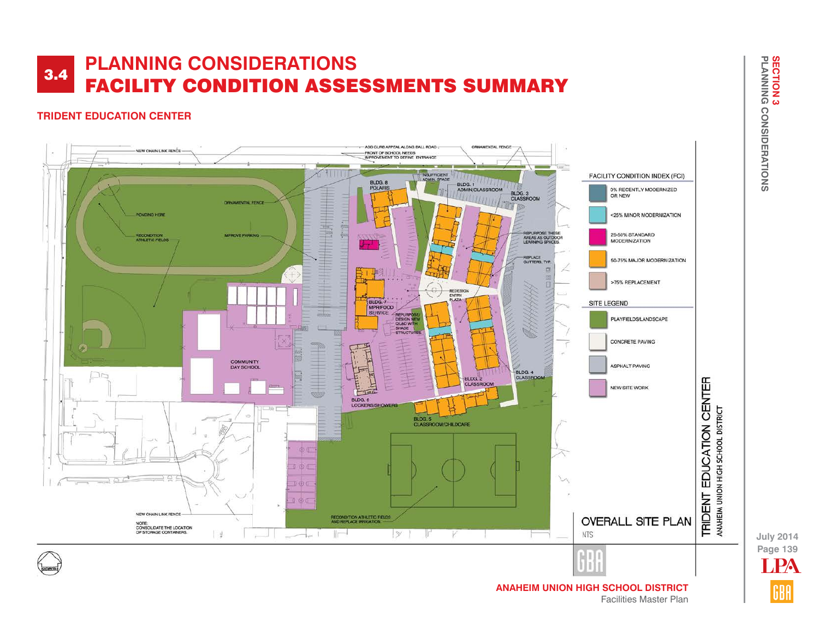## **TRIDENT EDUCATION CENTER**



**Page 139 July 2014** LPA